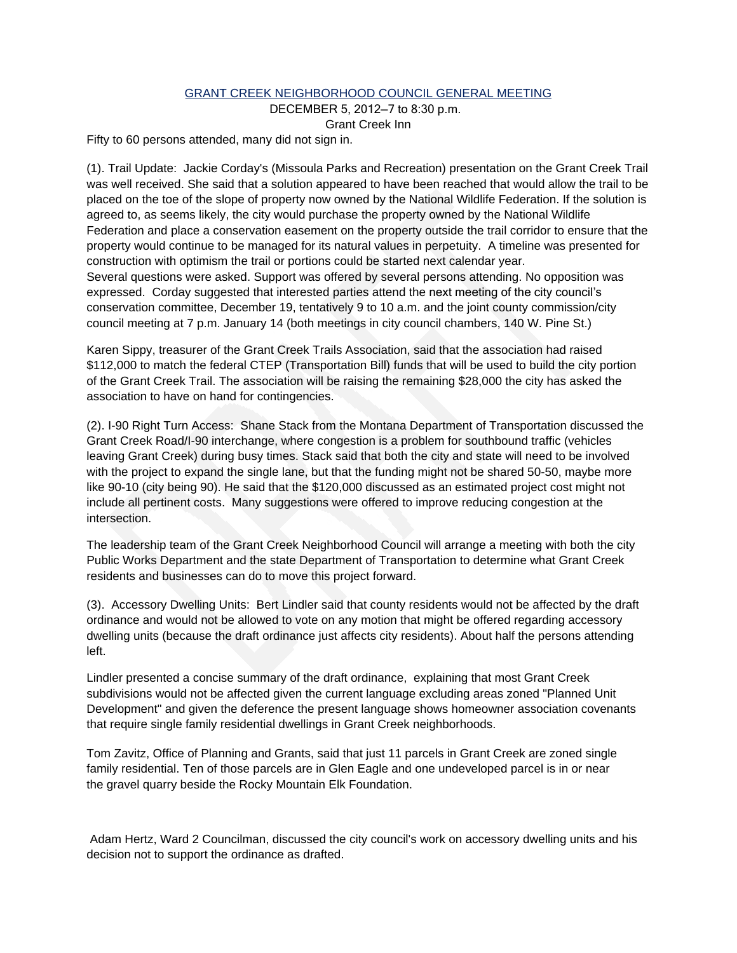## GRANT CREEK NEIGHBORHOOD COUNCIL GENERAL MEETING

DECEMBER 5, 2012—7 to 8:30 p.m.

Grant Creek Inn

Fifty to 60 persons attended, many did not sign in.

(1). Trail Update: Jackie Corday's (Missoula Parks and Recreation) presentation on the Grant Creek Trail was well received. She said that a solution appeared to have been reached that would allow the trail to be placed on the toe of the slope of property now owned by the National Wildlife Federation. If the solution is agreed to, as seems likely, the city would purchase the property owned by the National Wildlife Federation and place a conservation easement on the property outside the trail corridor to ensure that the property would continue to be managed for its natural values in perpetuity. A timeline was presented for construction with optimism the trail or portions could be started next calendar year. Several questions were asked. Support was offered by several persons attending. No opposition was expressed. Corday suggested that interested parties attend the next meeting of the city council's conservation committee, December 19, tentatively 9 to 10 a.m. and the joint county commission/city council meeting at 7 p.m. January 14 (both meetings in city council chambers, 140 W. Pine St.)

Karen Sippy, treasurer of the Grant Creek Trails Association, said that the association had raised \$112,000 to match the federal CTEP (Transportation Bill) funds that will be used to build the city portion of the Grant Creek Trail. The association will be raising the remaining \$28,000 the city has asked the association to have on hand for contingencies.

(2). I-90 Right Turn Access: Shane Stack from the Montana Department of Transportation discussed the Grant Creek Road/I-90 interchange, where congestion is a problem for southbound traffic (vehicles leaving Grant Creek) during busy times. Stack said that both the city and state will need to be involved with the project to expand the single lane, but that the funding might not be shared 50-50, maybe more like 90-10 (city being 90). He said that the \$120,000 discussed as an estimated project cost might not include all pertinent costs. Many suggestions were offered to improve reducing congestion at the intersection.

The leadership team of the Grant Creek Neighborhood Council will arrange a meeting with both the city Public Works Department and the state Department of Transportation to determine what Grant Creek residents and businesses can do to move this project forward.

(3). Accessory Dwelling Units: Bert Lindler said that county residents would not be affected by the draft ordinance and would not be allowed to vote on any motion that might be offered regarding accessory dwelling units (because the draft ordinance just affects city residents). About half the persons attending left.

Lindler presented a concise summary of the draft ordinance, explaining that most Grant Creek subdivisions would not be affected given the current language excluding areas zoned "Planned Unit Development" and given the deference the present language shows homeowner association covenants that require single family residential dwellings in Grant Creek neighborhoods.

Tom Zavitz, Office of Planning and Grants, said that just 11 parcels in Grant Creek are zoned single family residential. Ten of those parcels are in Glen Eagle and one undeveloped parcel is in or near the gravel quarry beside the Rocky Mountain Elk Foundation.

Adam Hertz, Ward 2 Councilman, discussed the city council's work on accessory dwelling units and his decision not to support the ordinance as drafted.